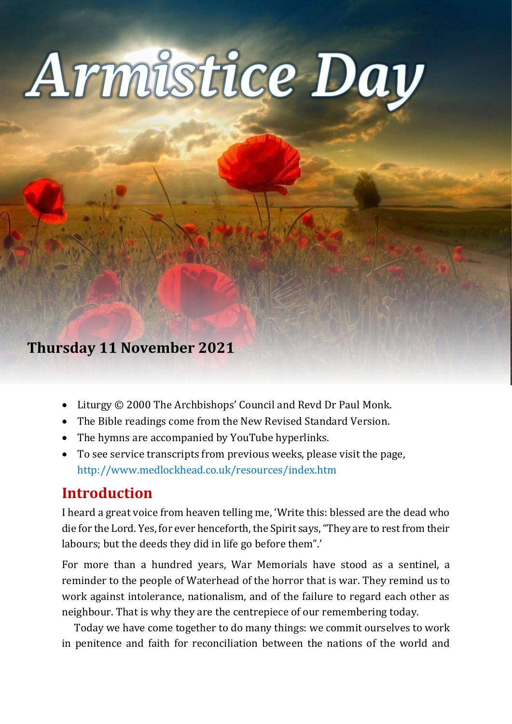# Thursday 11 November 2020 1 **Remembrance Day**

# **Thursday 11 November 2021**

- Liturgy © 2000 The Archbishops' Council and Revd Dr Paul Monk.
- The Bible readings come from the New Revised Standard Version.
- The hymns are accompanied by YouTube hyperlinks.
- To see service transcripts from previous weeks, please visit the page, <http://www.medlockhead.co.uk/resources/index.htm>

# **Introduction**

I heard a great voice from heaven telling me, 'Write this: blessed are the dead who die for the Lord. Yes, for ever henceforth, the Spirit says, "They are to rest from their labours; but the deeds they did in life go before them".'

For more than a hundred years, War Memorials have stood as a sentinel, a reminder to the people of Waterhead of the horror that is war. They remind us to work against intolerance, nationalism, and of the failure to regard each other as neighbour. That is why they are the centrepiece of our remembering today.

Today we have come together to do many things: we commit ourselves to work in penitence and faith for reconciliation between the nations of the world and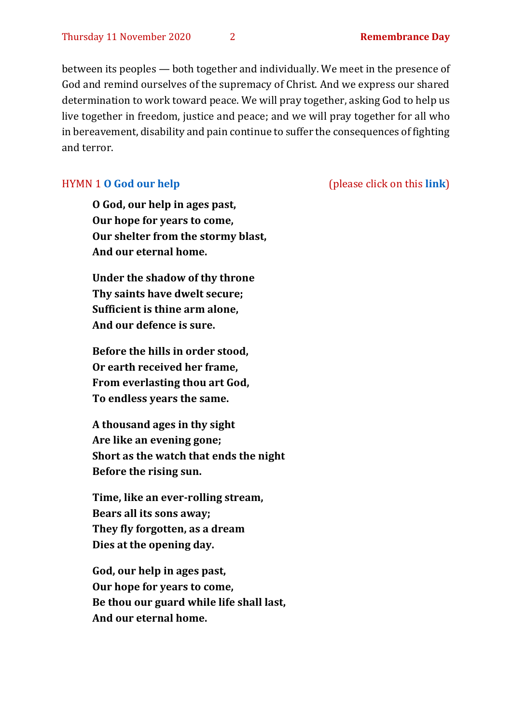between its peoples — both together and individually. We meet in the presence of God and remind ourselves of the supremacy of Christ. And we express our shared determination to work toward peace. We will pray together, asking God to help us live together in freedom, justice and peace; and we will pray together for all who in bereavement, disability and pain continue to suffer the consequences of fighting and terror.

**O God, our help in ages past, Our hope for years to come, Our shelter from the stormy blast, And our eternal home.** 

**Under the shadow of thy throne Thy saints have dwelt secure; Sufficient is thine arm alone, And our defence is sure.** 

**Before the hills in order stood, Or earth received her frame, From everlasting thou art God, To endless years the same.** 

**A thousand ages in thy sight Are like an evening gone; Short as the watch that ends the night Before the rising sun.** 

**Time, like an ever-rolling stream, Bears all its sons away; They fly forgotten, as a dream Dies at the opening day.**

**God, our help in ages past, Our hope for years to come, Be thou our guard while life shall last, And our eternal home.**

#### HYMN 1 **[O God our help](https://www.youtube.com/watch?v=ZjdmLstpNGE)** (please click on this **[link](https://www.youtube.com/watch?v=ZjdmLstpNGE)**)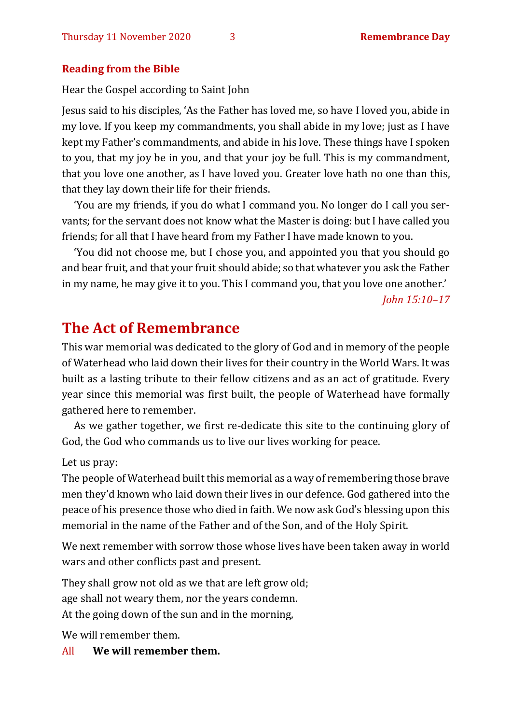#### **Reading from the Bible**

Hear the Gospel according to Saint John

Jesus said to his disciples, 'As the Father has loved me, so have I loved you, abide in my love. If you keep my commandments, you shall abide in my love; just as I have kept my Father's commandments, and abide in his love. These things have I spoken to you, that my joy be in you, and that your joy be full. This is my commandment, that you love one another, as I have loved you. Greater love hath no one than this, that they lay down their life for their friends.

'You are my friends, if you do what I command you. No longer do I call you servants; for the servant does not know what the Master is doing: but I have called you friends; for all that I have heard from my Father I have made known to you.

'You did not choose me, but I chose you, and appointed you that you should go and bear fruit, and that your fruit should abide; so that whatever you ask the Father in my name, he may give it to you. This I command you, that you love one another.'

*John 15:10–17*

## **The Act of Remembrance**

This war memorial was dedicated to the glory of God and in memory of the people of Waterhead who laid down their lives for their country in the World Wars. It was built as a lasting tribute to their fellow citizens and as an act of gratitude. Every year since this memorial was first built, the people of Waterhead have formally gathered here to remember.

As we gather together, we first re-dedicate this site to the continuing glory of God, the God who commands us to live our lives working for peace.

Let us pray:

The people of Waterhead built this memorial as a way of remembering those brave men they'd known who laid down their lives in our defence. God gathered into the peace of his presence those who died in faith. We now ask God's blessing upon this memorial in the name of the Father and of the Son, and of the Holy Spirit.

We next remember with sorrow those whose lives have been taken away in world wars and other conflicts past and present.

They shall grow not old as we that are left grow old; age shall not weary them, nor the years condemn. At the going down of the sun and in the morning,

We will remember them.

All **We will remember them.**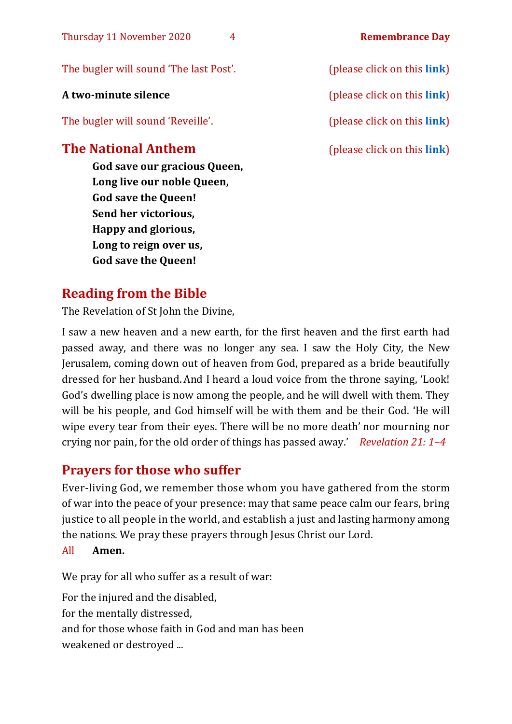| Thursday 11 November 2020<br>4                                                           | <b>Remembrance Day</b>              |
|------------------------------------------------------------------------------------------|-------------------------------------|
| The bugler will sound 'The last Post'.                                                   | (please click on this link)         |
| A two-minute silence                                                                     | (please click on this link)         |
| The bugler will sound 'Reveille'.                                                        | (please click on this <b>link</b> ) |
| <b>The National Anthem</b><br>God save our gracious Queen,<br>Long live our noble Queen, | (please click on this <b>link</b> ) |

# **Reading from the Bible**

The Revelation of St John the Divine,

**God save the Queen! Send her victorious, Happy and glorious, Long to reign over us, God save the Queen!** 

I saw a new heaven and a new earth, for the first heaven and the first earth had passed away, and there was no longer any sea. I saw the Holy City, the New Jerusalem, coming down out of heaven from God, prepared as a bride beautifully dressed for her husband. And I heard a loud voice from the throne saying, 'Look! God's dwelling place is now among the people, and he will dwell with them. They will be his people, and God himself will be with them and be their God. 'He will wipe every tear from their eyes. There will be no more death' nor mourning nor crying nor pain, for the old order of things has passed away.' *Revelation 21: 1–4*

# **Prayers for those who suffer**

Ever-living God, we remember those whom you have gathered from the storm of war into the peace of your presence: may that same peace calm our fears, bring justice to all people in the world, and establish a just and lasting harmony among the nations. We pray these prayers through Jesus Christ our Lord.

All **Amen.**

We pray for all who suffer as a result of war:

For the injured and the disabled, for the mentally distressed, and for those whose faith in God and man has been weakened or destroyed ...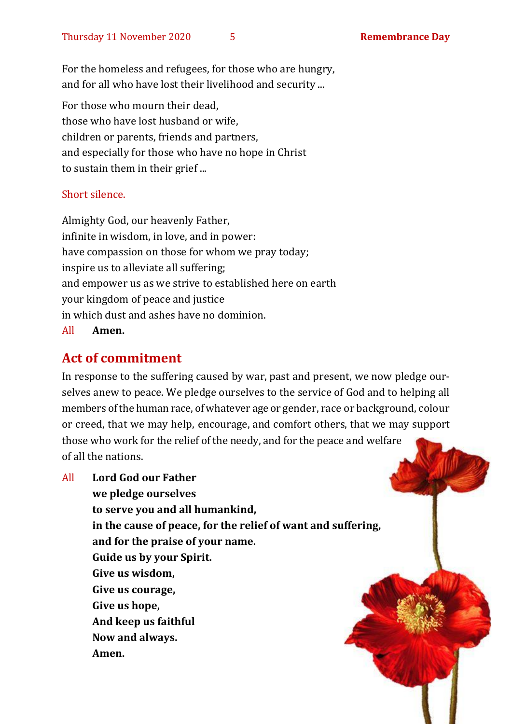For the homeless and refugees, for those who are hungry, and for all who have lost their livelihood and security ...

For those who mourn their dead, those who have lost husband or wife, children or parents, friends and partners, and especially for those who have no hope in Christ to sustain them in their grief ...

#### Short silence.

Almighty God, our heavenly Father, infinite in wisdom, in love, and in power: have compassion on those for whom we pray today; inspire us to alleviate all suffering; and empower us as we strive to established here on earth your kingdom of peace and justice in which dust and ashes have no dominion.

All **Amen.**

### **Act of commitment**

In response to the suffering caused by war, past and present, we now pledge ourselves anew to peace. We pledge ourselves to the service of God and to helping all members of the human race, of whatever age or gender, race or background, colour or creed, that we may help, encourage, and comfort others, that we may support those who work for the relief of the needy, and for the peace and welfare of all the nations.

All **Lord God our Father we pledge ourselves to serve you and all humankind, in the cause of peace, for the relief of want and suffering, and for the praise of your name. Guide us by your Spirit. Give us wisdom, Give us courage, Give us hope, And keep us faithful Now and always. Amen.**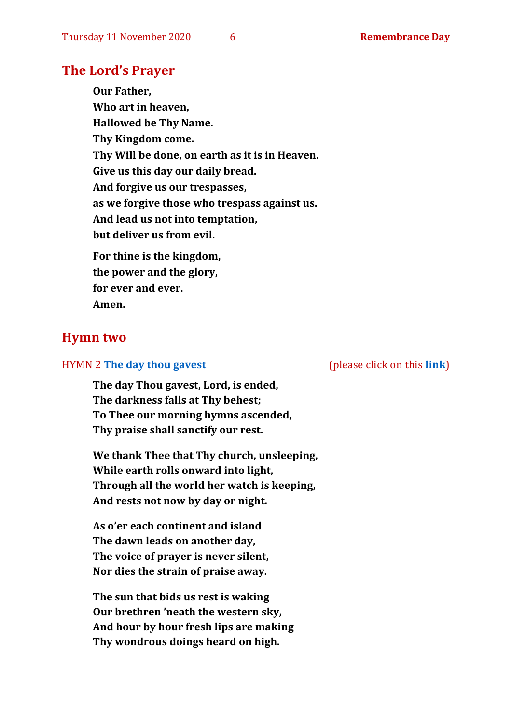#### **The Lord's Prayer**

**Our Father, Who art in heaven, Hallowed be Thy Name. Thy Kingdom come. Thy Will be done, on earth as it is in Heaven. Give us this day our daily bread. And forgive us our trespasses, as we forgive those who trespass against us. And lead us not into temptation, but deliver us from evil. For thine is the kingdom, the power and the glory, for ever and ever. Amen.**

#### **Hymn two**

#### HYMN 2 **[The day thou gavest](https://www.youtube.com/watch?v=eeC6M_RD3oE)** (please click on this **[link](https://www.youtube.com/watch?v=eeC6M_RD3oE)**)

**The day Thou gavest, Lord, is ended, The darkness falls at Thy behest; To Thee our morning hymns ascended, Thy praise shall sanctify our rest.**

**We thank Thee that Thy church, unsleeping, While earth rolls onward into light, Through all the world her watch is keeping, And rests not now by day or night.**

**As o'er each continent and island The dawn leads on another day, The voice of prayer is never silent, Nor dies the strain of praise away.**

**The sun that bids us rest is waking Our brethren 'neath the western sky, And hour by hour fresh lips are making Thy wondrous doings heard on high.**